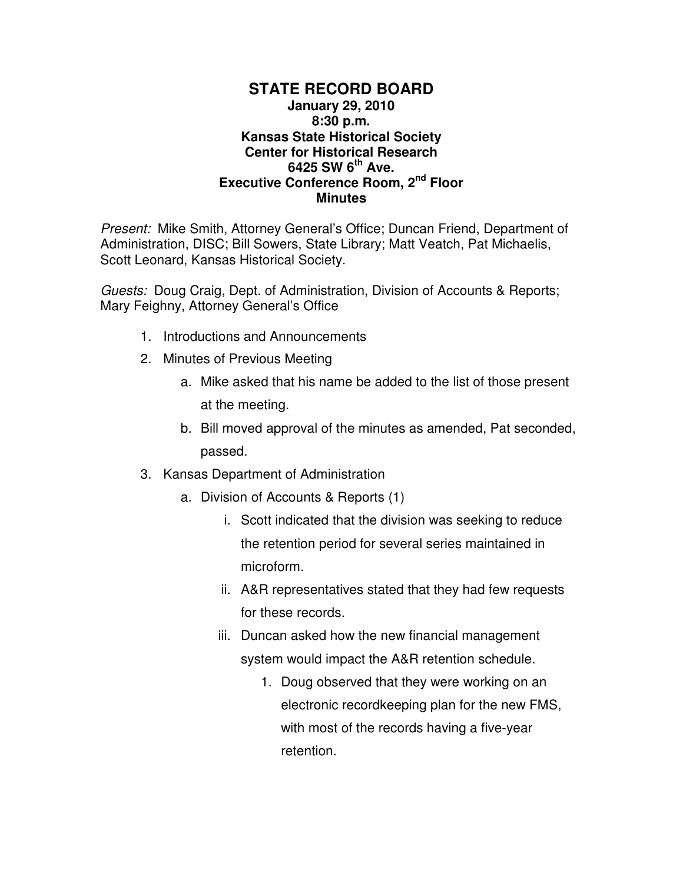## **STATE RECORD BOARD January 29, 2010 8:30 p.m. Kansas State Historical Society Center for Historical Research 6425 SW 6th Ave. Executive Conference Room, 2nd Floor Minutes**

Present: Mike Smith, Attorney General's Office; Duncan Friend, Department of Administration, DISC; Bill Sowers, State Library; Matt Veatch, Pat Michaelis, Scott Leonard, Kansas Historical Society.

Guests: Doug Craig, Dept. of Administration, Division of Accounts & Reports; Mary Feighny, Attorney General's Office

- 1. Introductions and Announcements
- 2. Minutes of Previous Meeting
	- a. Mike asked that his name be added to the list of those present at the meeting.
	- b. Bill moved approval of the minutes as amended, Pat seconded, passed.
- 3. Kansas Department of Administration
	- a. Division of Accounts & Reports (1)
		- i. Scott indicated that the division was seeking to reduce the retention period for several series maintained in microform.
		- ii. A&R representatives stated that they had few requests for these records.
		- iii. Duncan asked how the new financial management system would impact the A&R retention schedule.
			- 1. Doug observed that they were working on an electronic recordkeeping plan for the new FMS, with most of the records having a five-year retention.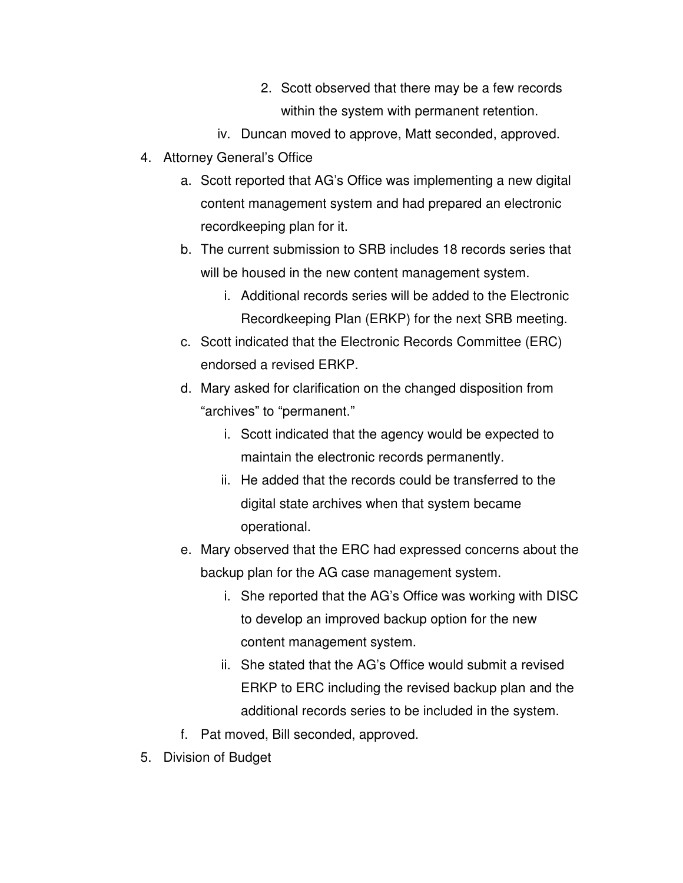- 2. Scott observed that there may be a few records within the system with permanent retention.
- iv. Duncan moved to approve, Matt seconded, approved.
- 4. Attorney General's Office
	- a. Scott reported that AG's Office was implementing a new digital content management system and had prepared an electronic recordkeeping plan for it.
	- b. The current submission to SRB includes 18 records series that will be housed in the new content management system.
		- i. Additional records series will be added to the Electronic Recordkeeping Plan (ERKP) for the next SRB meeting.
	- c. Scott indicated that the Electronic Records Committee (ERC) endorsed a revised ERKP.
	- d. Mary asked for clarification on the changed disposition from "archives" to "permanent."
		- i. Scott indicated that the agency would be expected to maintain the electronic records permanently.
		- ii. He added that the records could be transferred to the digital state archives when that system became operational.
	- e. Mary observed that the ERC had expressed concerns about the backup plan for the AG case management system.
		- i. She reported that the AG's Office was working with DISC to develop an improved backup option for the new content management system.
		- ii. She stated that the AG's Office would submit a revised ERKP to ERC including the revised backup plan and the additional records series to be included in the system.
	- f. Pat moved, Bill seconded, approved.
- 5. Division of Budget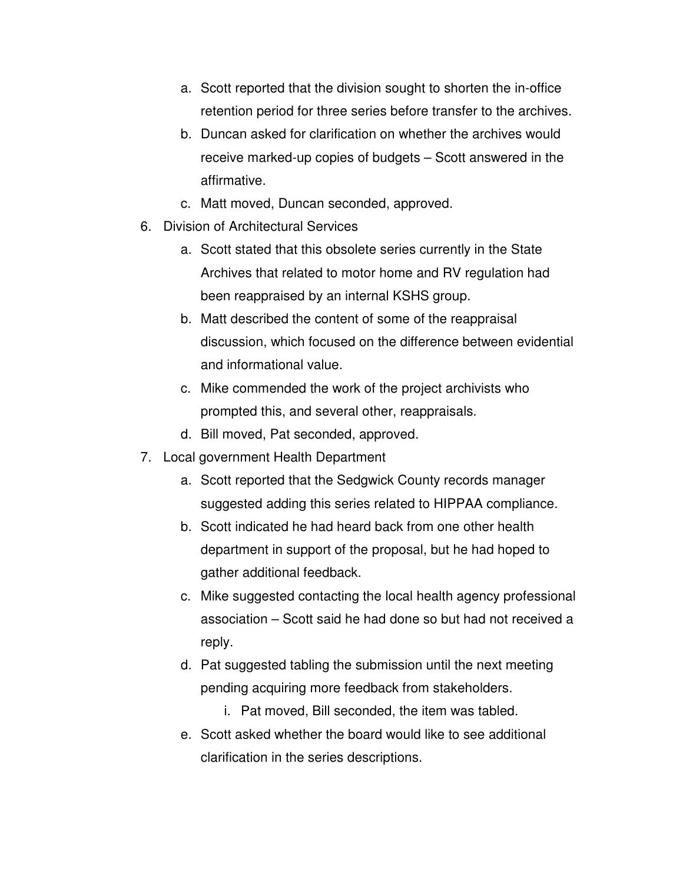- a. Scott reported that the division sought to shorten the in-office retention period for three series before transfer to the archives.
- b. Duncan asked for clarification on whether the archives would receive marked-up copies of budgets – Scott answered in the affirmative.
- c. Matt moved, Duncan seconded, approved.
- 6. Division of Architectural Services
	- a. Scott stated that this obsolete series currently in the State Archives that related to motor home and RV regulation had been reappraised by an internal KSHS group.
	- b. Matt described the content of some of the reappraisal discussion, which focused on the difference between evidential and informational value.
	- c. Mike commended the work of the project archivists who prompted this, and several other, reappraisals.
	- d. Bill moved, Pat seconded, approved.
- 7. Local government Health Department
	- a. Scott reported that the Sedgwick County records manager suggested adding this series related to HIPPAA compliance.
	- b. Scott indicated he had heard back from one other health department in support of the proposal, but he had hoped to gather additional feedback.
	- c. Mike suggested contacting the local health agency professional association – Scott said he had done so but had not received a reply.
	- d. Pat suggested tabling the submission until the next meeting pending acquiring more feedback from stakeholders.
		- i. Pat moved, Bill seconded, the item was tabled.
	- e. Scott asked whether the board would like to see additional clarification in the series descriptions.